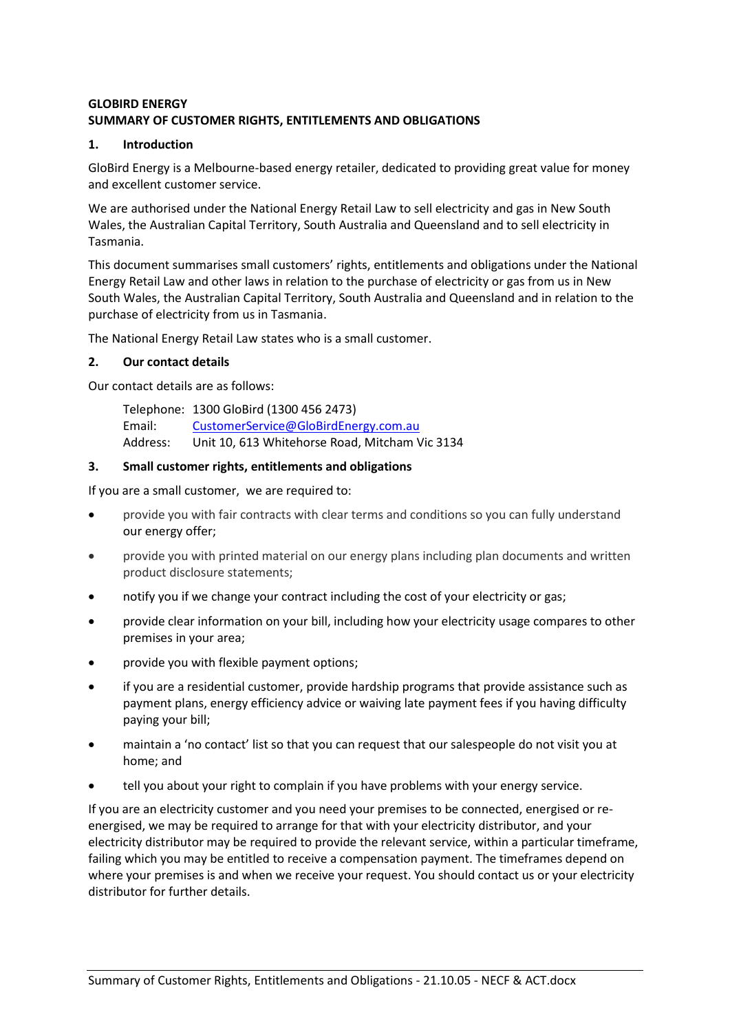# **GLOBIRD ENERGY SUMMARY OF CUSTOMER RIGHTS, ENTITLEMENTS AND OBLIGATIONS**

### **1. Introduction**

GloBird Energy is a Melbourne-based energy retailer, dedicated to providing great value for money and excellent customer service.

We are authorised under the National Energy Retail Law to sell electricity and gas in New South Wales, the Australian Capital Territory, South Australia and Queensland and to sell electricity in Tasmania.

This document summarises small customers' rights, entitlements and obligations under the National Energy Retail Law and other laws in relation to the purchase of electricity or gas from us in New South Wales, the Australian Capital Territory, South Australia and Queensland and in relation to the purchase of electricity from us in Tasmania.

The National Energy Retail Law states who is a small customer.

# **2. Our contact details**

Our contact details are as follows:

Telephone: 1300 GloBird (1300 456 2473) Email: [CustomerService@GloBirdEnergy.com.au](mailto:CustomerService@GloBirdEnergy.com.au) Address: Unit 10, 613 Whitehorse Road, Mitcham Vic 3134

# **3. Small customer rights, entitlements and obligations**

If you are a small customer, we are required to:

- provide you with fair contracts with clear terms and conditions so you can fully understand our energy offer;
- provide you with printed material on our energy plans including plan documents and written product disclosure statements;
- notify you if we change your contract including the cost of your electricity or gas;
- provide clear information on your bill, including how your electricity usage compares to other premises in your area;
- provide you with flexible payment options;
- if you are a residential customer, provide hardship programs that provide assistance such as payment plans, energy efficiency advice or waiving late payment fees if you having difficulty paying your bill;
- maintain a 'no contact' list so that you can request that our salespeople do not visit you at home; and
- tell you about your right to complain if you have problems with your energy service.

If you are an electricity customer and you need your premises to be connected, energised or reenergised, we may be required to arrange for that with your electricity distributor, and your electricity distributor may be required to provide the relevant service, within a particular timeframe, failing which you may be entitled to receive a compensation payment. The timeframes depend on where your premises is and when we receive your request. You should contact us or your electricity distributor for further details.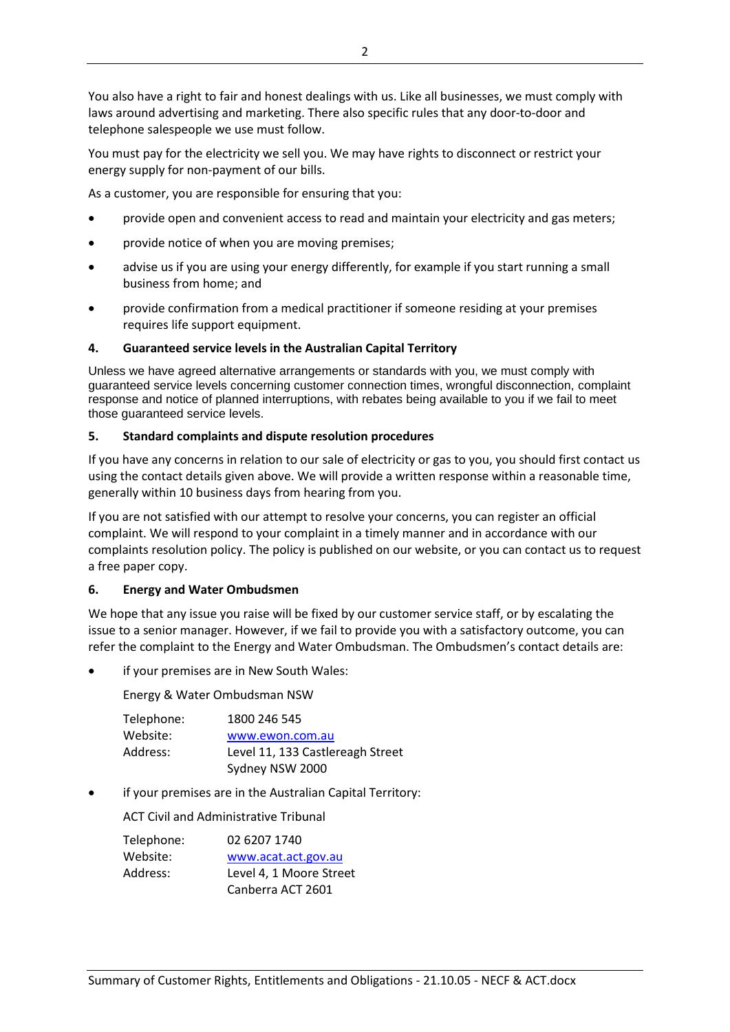You also have a right to fair and honest dealings with us. Like all businesses, we must comply with laws around advertising and marketing. There also specific rules that any door-to-door and telephone salespeople we use must follow.

You must pay for the electricity we sell you. We may have rights to disconnect or restrict your energy supply for non-payment of our bills.

As a customer, you are responsible for ensuring that you:

- provide open and convenient access to read and maintain your electricity and gas meters;
- provide notice of when you are moving premises;
- advise us if you are using your energy differently, for example if you start running a small business from home; and
- provide confirmation from a medical practitioner if someone residing at your premises requires life support equipment.

#### **4. Guaranteed service levels in the Australian Capital Territory**

Unless we have agreed alternative arrangements or standards with you, we must comply with guaranteed service levels concerning customer connection times, wrongful disconnection, complaint response and notice of planned interruptions, with rebates being available to you if we fail to meet those guaranteed service levels.

#### **5. Standard complaints and dispute resolution procedures**

If you have any concerns in relation to our sale of electricity or gas to you, you should first contact us using the contact details given above. We will provide a written response within a reasonable time, generally within 10 business days from hearing from you.

If you are not satisfied with our attempt to resolve your concerns, you can register an official complaint. We will respond to your complaint in a timely manner and in accordance with our complaints resolution policy. The policy is published on our website, or you can contact us to request a free paper copy.

#### **6. Energy and Water Ombudsmen**

We hope that any issue you raise will be fixed by our customer service staff, or by escalating the issue to a senior manager. However, if we fail to provide you with a satisfactory outcome, you can refer the complaint to the Energy and Water Ombudsman. The Ombudsmen's contact details are:

if your premises are in New South Wales:

Energy & Water Ombudsman NSW

| Telephone: | 1800 246 545                     |
|------------|----------------------------------|
| Website:   | www.ewon.com.au                  |
| Address:   | Level 11, 133 Castlereagh Street |
|            | Sydney NSW 2000                  |

if your premises are in the Australian Capital Territory:

ACT Civil and Administrative Tribunal

| Telephone: | 02 6207 1740            |
|------------|-------------------------|
| Website:   | www.acat.act.gov.au     |
| Address:   | Level 4, 1 Moore Street |
|            | Canberra ACT 2601       |